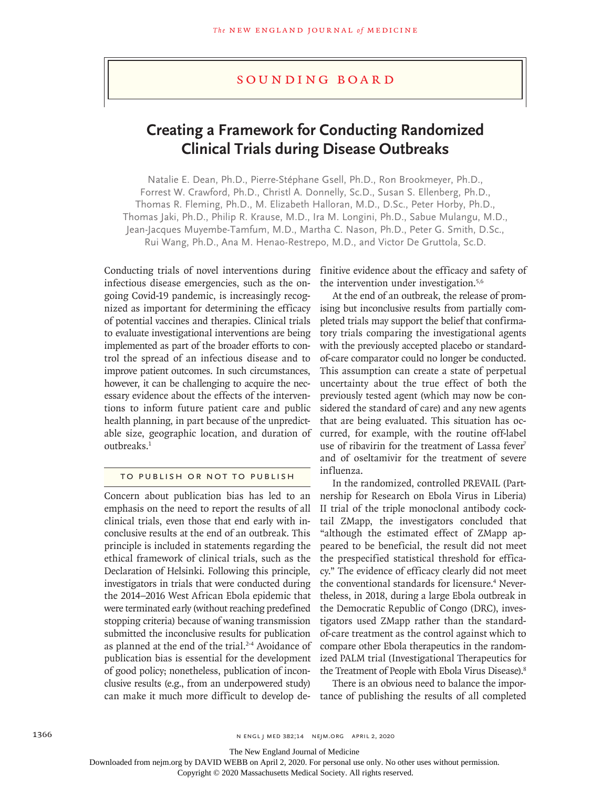# Sounding Board

# **Creating a Framework for Conducting Randomized Clinical Trials during Disease Outbreaks**

Natalie E. Dean, Ph.D., Pierre‑Stéphane Gsell, Ph.D., Ron Brookmeyer, Ph.D., Forrest W. Crawford, Ph.D., Christl A. Donnelly, Sc.D., Susan S. Ellenberg, Ph.D., Thomas R. Fleming, Ph.D., M. Elizabeth Halloran, M.D., D.Sc., Peter Horby, Ph.D., Thomas Jaki, Ph.D., Philip R. Krause, M.D., Ira M. Longini, Ph.D., Sabue Mulangu, M.D., Jean‑Jacques Muyembe‑Tamfum, M.D., Martha C. Nason, Ph.D., Peter G. Smith, D.Sc., Rui Wang, Ph.D., Ana M. Henao‑Restrepo, M.D., and Victor De Gruttola, Sc.D.

Conducting trials of novel interventions during infectious disease emergencies, such as the ongoing Covid-19 pandemic, is increasingly recognized as important for determining the efficacy of potential vaccines and therapies. Clinical trials to evaluate investigational interventions are being implemented as part of the broader efforts to control the spread of an infectious disease and to improve patient outcomes. In such circumstances, however, it can be challenging to acquire the necessary evidence about the effects of the interventions to inform future patient care and public health planning, in part because of the unpredictable size, geographic location, and duration of outbreaks.<sup>1</sup>

## To Publish or Not to Publish

Concern about publication bias has led to an emphasis on the need to report the results of all clinical trials, even those that end early with inconclusive results at the end of an outbreak. This principle is included in statements regarding the ethical framework of clinical trials, such as the Declaration of Helsinki. Following this principle, investigators in trials that were conducted during the 2014–2016 West African Ebola epidemic that were terminated early (without reaching predefined stopping criteria) because of waning transmission submitted the inconclusive results for publication as planned at the end of the trial.<sup>2-4</sup> Avoidance of publication bias is essential for the development of good policy; nonetheless, publication of inconclusive results (e.g., from an underpowered study) can make it much more difficult to develop definitive evidence about the efficacy and safety of the intervention under investigation.5,6

At the end of an outbreak, the release of promising but inconclusive results from partially completed trials may support the belief that confirmatory trials comparing the investigational agents with the previously accepted placebo or standardof-care comparator could no longer be conducted. This assumption can create a state of perpetual uncertainty about the true effect of both the previously tested agent (which may now be considered the standard of care) and any new agents that are being evaluated. This situation has occurred, for example, with the routine off-label use of ribavirin for the treatment of Lassa fever<sup>7</sup> and of oseltamivir for the treatment of severe influenza.

In the randomized, controlled PREVAIL (Partnership for Research on Ebola Virus in Liberia) II trial of the triple monoclonal antibody cocktail ZMapp, the investigators concluded that "although the estimated effect of ZMapp appeared to be beneficial, the result did not meet the prespecified statistical threshold for efficacy." The evidence of efficacy clearly did not meet the conventional standards for licensure.<sup>4</sup> Nevertheless, in 2018, during a large Ebola outbreak in the Democratic Republic of Congo (DRC), investigators used ZMapp rather than the standardof-care treatment as the control against which to compare other Ebola therapeutics in the randomized PALM trial (Investigational Therapeutics for the Treatment of People with Ebola Virus Disease).8

There is an obvious need to balance the importance of publishing the results of all completed

The New England Journal of Medicine

Downloaded from nejm.org by DAVID WEBB on April 2, 2020. For personal use only. No other uses without permission.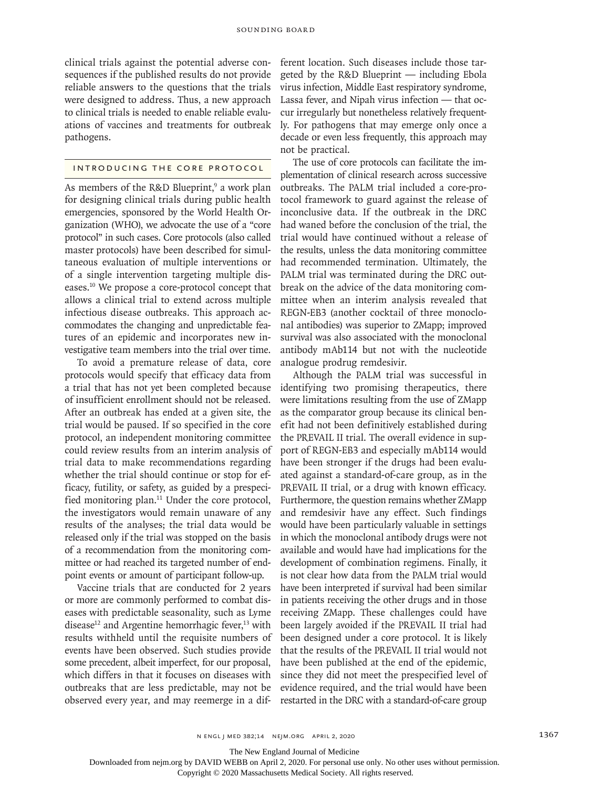clinical trials against the potential adverse consequences if the published results do not provide reliable answers to the questions that the trials were designed to address. Thus, a new approach to clinical trials is needed to enable reliable evaluations of vaccines and treatments for outbreak pathogens.

### Introducing the Core Protocol

As members of the R&D Blueprint,<sup>9</sup> a work plan for designing clinical trials during public health emergencies, sponsored by the World Health Organization (WHO), we advocate the use of a "core protocol" in such cases. Core protocols (also called master protocols) have been described for simultaneous evaluation of multiple interventions or of a single intervention targeting multiple diseases.10 We propose a core-protocol concept that allows a clinical trial to extend across multiple infectious disease outbreaks. This approach accommodates the changing and unpredictable features of an epidemic and incorporates new investigative team members into the trial over time.

To avoid a premature release of data, core protocols would specify that efficacy data from a trial that has not yet been completed because of insufficient enrollment should not be released. After an outbreak has ended at a given site, the trial would be paused. If so specified in the core protocol, an independent monitoring committee could review results from an interim analysis of trial data to make recommendations regarding whether the trial should continue or stop for efficacy, futility, or safety, as guided by a prespecified monitoring plan.<sup>11</sup> Under the core protocol, the investigators would remain unaware of any results of the analyses; the trial data would be released only if the trial was stopped on the basis of a recommendation from the monitoring committee or had reached its targeted number of endpoint events or amount of participant follow-up.

Vaccine trials that are conducted for 2 years or more are commonly performed to combat diseases with predictable seasonality, such as Lyme disease<sup>12</sup> and Argentine hemorrhagic fever,<sup>13</sup> with results withheld until the requisite numbers of events have been observed. Such studies provide some precedent, albeit imperfect, for our proposal, which differs in that it focuses on diseases with outbreaks that are less predictable, may not be observed every year, and may reemerge in a dif-

ferent location. Such diseases include those targeted by the R&D Blueprint — including Ebola virus infection, Middle East respiratory syndrome, Lassa fever, and Nipah virus infection — that occur irregularly but nonetheless relatively frequently. For pathogens that may emerge only once a decade or even less frequently, this approach may not be practical.

The use of core protocols can facilitate the implementation of clinical research across successive outbreaks. The PALM trial included a core-protocol framework to guard against the release of inconclusive data. If the outbreak in the DRC had waned before the conclusion of the trial, the trial would have continued without a release of the results, unless the data monitoring committee had recommended termination. Ultimately, the PALM trial was terminated during the DRC outbreak on the advice of the data monitoring committee when an interim analysis revealed that REGN-EB3 (another cocktail of three monoclonal antibodies) was superior to ZMapp; improved survival was also associated with the monoclonal antibody mAb114 but not with the nucleotide analogue prodrug remdesivir.

Although the PALM trial was successful in identifying two promising therapeutics, there were limitations resulting from the use of ZMapp as the comparator group because its clinical benefit had not been definitively established during the PREVAIL II trial. The overall evidence in support of REGN-EB3 and especially mAb114 would have been stronger if the drugs had been evaluated against a standard-of-care group, as in the PREVAIL II trial, or a drug with known efficacy. Furthermore, the question remains whether ZMapp and remdesivir have any effect. Such findings would have been particularly valuable in settings in which the monoclonal antibody drugs were not available and would have had implications for the development of combination regimens. Finally, it is not clear how data from the PALM trial would have been interpreted if survival had been similar in patients receiving the other drugs and in those receiving ZMapp. These challenges could have been largely avoided if the PREVAIL II trial had been designed under a core protocol. It is likely that the results of the PREVAIL II trial would not have been published at the end of the epidemic, since they did not meet the prespecified level of evidence required, and the trial would have been restarted in the DRC with a standard-of-care group

The New England Journal of Medicine

Downloaded from nejm.org by DAVID WEBB on April 2, 2020. For personal use only. No other uses without permission.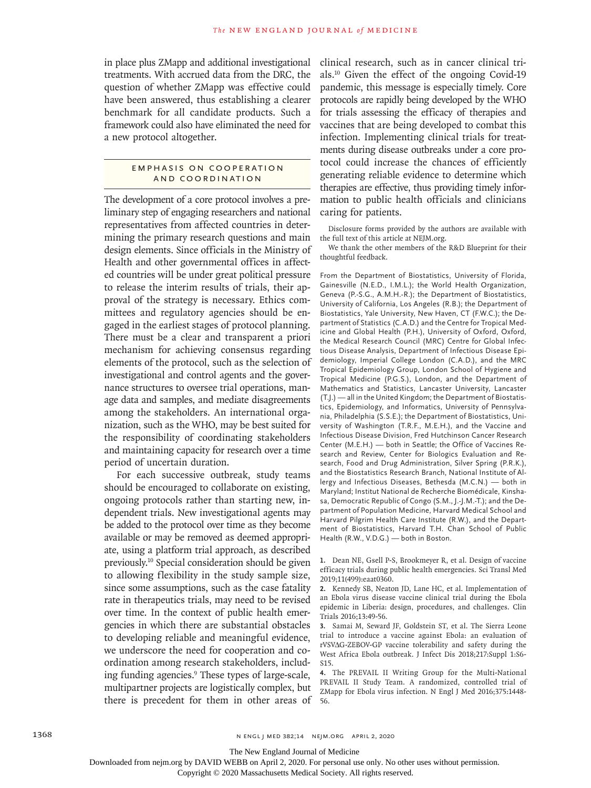in place plus ZMapp and additional investigational treatments. With accrued data from the DRC, the question of whether ZMapp was effective could have been answered, thus establishing a clearer benchmark for all candidate products. Such a framework could also have eliminated the need for a new protocol altogether.

#### Emphasis on Cooper ation and Coordination

The development of a core protocol involves a preliminary step of engaging researchers and national representatives from affected countries in determining the primary research questions and main design elements. Since officials in the Ministry of Health and other governmental offices in affected countries will be under great political pressure to release the interim results of trials, their approval of the strategy is necessary. Ethics committees and regulatory agencies should be engaged in the earliest stages of protocol planning. There must be a clear and transparent a priori mechanism for achieving consensus regarding elements of the protocol, such as the selection of investigational and control agents and the governance structures to oversee trial operations, manage data and samples, and mediate disagreements among the stakeholders. An international organization, such as the WHO, may be best suited for the responsibility of coordinating stakeholders and maintaining capacity for research over a time period of uncertain duration.

For each successive outbreak, study teams should be encouraged to collaborate on existing, ongoing protocols rather than starting new, independent trials. New investigational agents may be added to the protocol over time as they become available or may be removed as deemed appropriate, using a platform trial approach, as described previously.10 Special consideration should be given to allowing flexibility in the study sample size, since some assumptions, such as the case fatality rate in therapeutics trials, may need to be revised over time. In the context of public health emergencies in which there are substantial obstacles to developing reliable and meaningful evidence, we underscore the need for cooperation and coordination among research stakeholders, including funding agencies.9 These types of large-scale, multipartner projects are logistically complex, but there is precedent for them in other areas of

clinical research, such as in cancer clinical trials.10 Given the effect of the ongoing Covid-19 pandemic, this message is especially timely. Core protocols are rapidly being developed by the WHO for trials assessing the efficacy of therapies and vaccines that are being developed to combat this infection. Implementing clinical trials for treatments during disease outbreaks under a core protocol could increase the chances of efficiently generating reliable evidence to determine which therapies are effective, thus providing timely information to public health officials and clinicians caring for patients.

Disclosure forms provided by the authors are available with the full text of this article at NEJM.org.

We thank the other members of the R&D Blueprint for their thoughtful feedback.

From the Department of Biostatistics, University of Florida, Gainesville (N.E.D., I.M.L.); the World Health Organization, Geneva (P.-S.G., A.M.H.-R.); the Department of Biostatistics, University of California, Los Angeles (R.B.); the Department of Biostatistics, Yale University, New Haven, CT (F.W.C.); the Department of Statistics (C.A.D.) and the Centre for Tropical Medicine and Global Health (P.H.), University of Oxford, Oxford, the Medical Research Council (MRC) Centre for Global Infectious Disease Analysis, Department of Infectious Disease Epi‑ demiology, Imperial College London (C.A.D.), and the MRC Tropical Epidemiology Group, London School of Hygiene and Tropical Medicine (P.G.S.), London, and the Department of Mathematics and Statistics, Lancaster University, Lancaster (T.J.) — all in the United Kingdom; the Department of Biostatis‑ tics, Epidemiology, and Informatics, University of Pennsylvania, Philadelphia (S.S.E.); the Department of Biostatistics, University of Washington (T.R.F., M.E.H.), and the Vaccine and Infectious Disease Division, Fred Hutchinson Cancer Research Center (M.E.H.) — both in Seattle; the Office of Vaccines Re‑ search and Review, Center for Biologics Evaluation and Re‑ search, Food and Drug Administration, Silver Spring (P.R.K.), and the Biostatistics Research Branch, National Institute of Allergy and Infectious Diseases, Bethesda (M.C.N.) — both in Maryland; Institut National de Recherche Biomédicale, Kinshasa, Democratic Republic of Congo (S.M., J.-J.M.-T.); and the Department of Population Medicine, Harvard Medical School and Harvard Pilgrim Health Care Institute (R.W.), and the Department of Biostatistics, Harvard T.H. Chan School of Public Health (R.W., V.D.G.) — both in Boston.

**1.** Dean NE, Gsell P-S, Brookmeyer R, et al. Design of vaccine efficacy trials during public health emergencies. Sci Transl Med 2019;11(499):eaat0360.

**2.** Kennedy SB, Neaton JD, Lane HC, et al. Implementation of an Ebola virus disease vaccine clinical trial during the Ebola epidemic in Liberia: design, procedures, and challenges. Clin Trials 2016;13:49-56.

**3.** Samai M, Seward JF, Goldstein ST, et al. The Sierra Leone trial to introduce a vaccine against Ebola: an evaluation of rVSV∆G-ZEBOV-GP vaccine tolerability and safety during the West Africa Ebola outbreak. J Infect Dis 2018;217:Suppl 1:S6- S15.

**4.** The PREVAIL II Writing Group for the Multi-National PREVAIL II Study Team. A randomized, controlled trial of ZMapp for Ebola virus infection. N Engl J Med 2016;375:1448- 56.

The New England Journal of Medicine